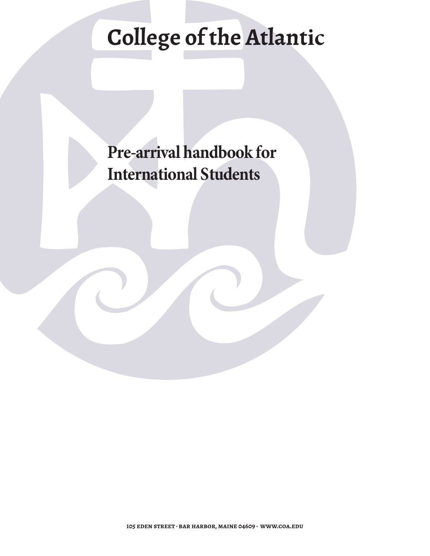# **College of the Atlantic**

**Pre-arrival handbook for International Students**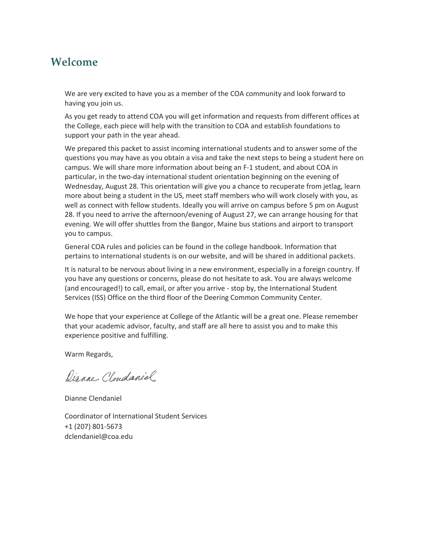## **Welcome**

We are very excited to have you as a member of the COA community and look forward to having you join us.

As you get ready to attend COA you will get information and requests from different offices at the College, each piece will help with the transition to COA and establish foundations to support your path in the year ahead.

We prepared this packet to assist incoming international students and to answer some of the questions you may have as you obtain a visa and take the next steps to being a student here on campus. We will share more information about being an F-1 student, and about COA in particular, in the two-day international student orientation beginning on the evening of Wednesday, August 28. This orientation will give you a chance to recuperate from jetlag, learn more about being a student in the US, meet staff members who will work closely with you, as well as connect with fellow students. Ideally you will arrive on campus before 5 pm on August 28. If you need to arrive the afternoon/evening of August 27, we can arrange housing for that evening. We will offer shuttles from the Bangor, Maine bus stations and airport to transport you to campus.

General COA rules and policies can be found in the college handbook. Information that pertains to international students is on our website, and will be shared in additional packets.

It is natural to be nervous about living in a new environment, especially in a foreign country. If you have any questions or concerns, please do not hesitate to ask. You are always welcome (and encouraged!) to call, email, or after you arrive - stop by, the International Student Services (ISS) Office on the third floor of the Deering Common Community Center.

We hope that your experience at College of the Atlantic will be a great one. Please remember that your academic advisor, faculty, and staff are all here to assist you and to make this experience positive and fulfilling.

Warm Regards,

Dianne Clendaniel

Dianne Clendaniel

Coordinator of International Student Services +1 (207) 801-5673 dclendaniel[@coa.edu](mailto:mhamm@coa.edu)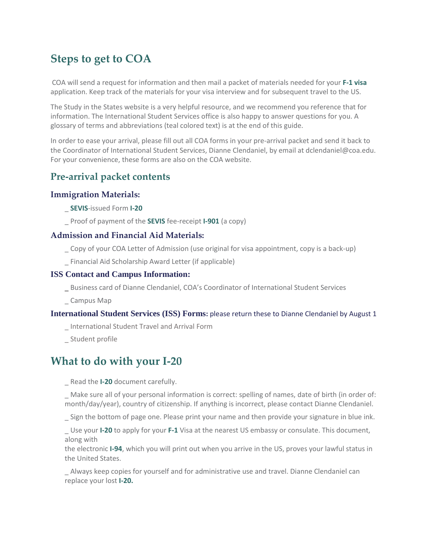# **Steps to get to COA**

 COA will send a request for information and then mail a packet of materials needed for your **F-1 visa** application. Keep track of the materials for your visa interview and for subsequent travel to the US.

The Study in the States website is a very helpful resource, and we recommend you reference that for information. The International Student Services office is also happy to answer questions for you. A glossary of terms and abbreviations (teal colored text) is at the end of this guide.

In order to ease your arrival, please fill out all COA forms in your pre-arrival packet and send it back to the Coordinator of International Student Services, Dianne Clendaniel, by email at dclendanie[l@coa.edu.](mailto:mhamm@coa.edu)  For your convenience, these forms are also on the COA website.

## **Pre-arrival packet contents**

## **Immigration Materials:**

- \_ **SEVIS**-issued Form **I-20**
- \_ Proof of payment of the **SEVIS** fee-receipt **I-901** (a copy)

## **Admission and Financial Aid Materials:**

- \_ Copy of your COA Letter of Admission (use original for visa appointment, copy is a back-up)
- \_ Financial Aid Scholarship Award Letter (if applicable)

### **ISS Contact and Campus Information:**

- \_ Business card of Dianne Clendaniel, COA's Coordinator of International Student Services
- \_ Campus Map

#### **International Student Services (ISS) Forms:** please return these to Dianne Clendaniel by August 1

- \_ International Student Travel and Arrival Form
- \_ Student profile

# **What to do with your I-20**

\_ Read the **I-20** document carefully.

Make sure all of your personal information is correct: spelling of names, date of birth (in order of: month/day/year), country of citizenship. If anything is incorrect, please contact Dianne Clendaniel.

\_ Sign the bottom of page one. Please print your name and then provide your signature in blue ink.

\_ Use your **I-20** to apply for your **F-1** Visa at the nearest US embassy or consulate. This document, along with

the electronic **I-94**, which you will print out when you arrive in the US, proves your lawful status in the United States.

\_ Always keep copies for yourself and for administrative use and travel. Dianne Clendaniel can replace your lost **I-20.**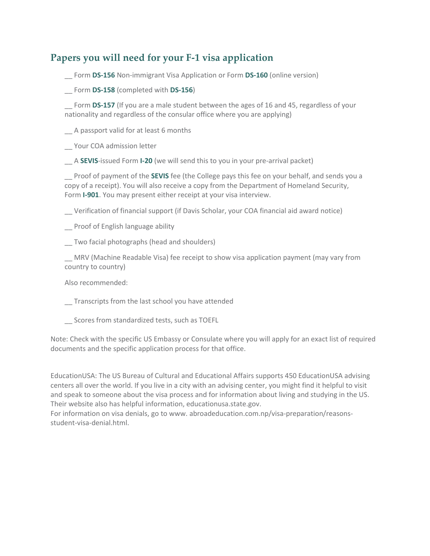## **Papers you will need for your F-1 visa application**

\_\_ Form **DS-156** Non-immigrant Visa Application or Form **DS-160** (online version)

\_\_ Form **DS-158** (completed with **DS-156**)

Form **DS-157** (If you are a male student between the ages of 16 and 45, regardless of your nationality and regardless of the consular office where you are applying)

\_\_ A passport valid for at least 6 months

\_\_ Your COA admission letter

\_\_ A **SEVIS**-issued Form **I-20** (we will send this to you in your pre-arrival packet)

\_\_ Proof of payment of the **SEVIS** fee (the College pays this fee on your behalf, and sends you a copy of a receipt). You will also receive a copy from the Department of Homeland Security, Form **I-901**. You may present either receipt at your visa interview.

\_\_ Verification of financial support (if Davis Scholar, your COA financial aid award notice)

\_\_ Proof of English language ability

\_\_ Two facial photographs (head and shoulders)

\_\_ MRV (Machine Readable Visa) fee receipt to show visa application payment (may vary from country to country)

Also recommended:

\_\_ Transcripts from the last school you have attended

\_\_ Scores from standardized tests, such as TOEFL

Note: Check with the specific US Embassy or Consulate where you will apply for an exact list of required documents and the specific application process for that office.

EducationUSA: The US Bureau of Cultural and Educational Affairs supports 450 EducationUSA advising centers all over the world. If you live in a city with an advising center, you might find it helpful to visit and speak to someone about the visa process and for information about living and studying in the US. Their website also has helpful information, educationusa.state.gov.

For information on visa denials, go t[o www.](http://www/) abroadeducation.com.np/visa-preparation/reasonsstudent-visa-denial.html.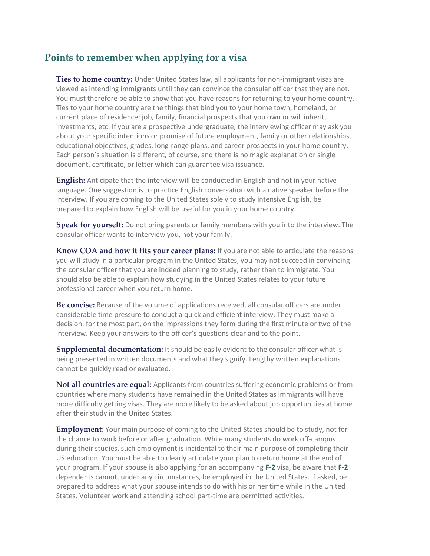## **Points to remember when applying for a visa**

**Ties to home country:** Under United States law, all applicants for non-immigrant visas are viewed as intending immigrants until they can convince the consular officer that they are not. You must therefore be able to show that you have reasons for returning to your home country. Ties to your home country are the things that bind you to your home town, homeland, or current place of residence: job, family, financial prospects that you own or will inherit, investments, etc. If you are a prospective undergraduate, the interviewing officer may ask you about your specific intentions or promise of future employment, family or other relationships, educational objectives, grades, long-range plans, and career prospects in your home country. Each person's situation is different, of course, and there is no magic explanation or single document, certificate, or letter which can guarantee visa issuance.

**English:** Anticipate that the interview will be conducted in English and not in your native language. One suggestion is to practice English conversation with a native speaker before the interview. If you are coming to the United States solely to study intensive English, be prepared to explain how English will be useful for you in your home country.

**Speak for yourself:** Do not bring parents or family members with you into the interview. The consular officer wants to interview you, not your family.

**Know COA and how it fits your career plans:** If you are not able to articulate the reasons you will study in a particular program in the United States, you may not succeed in convincing the consular officer that you are indeed planning to study, rather than to immigrate. You should also be able to explain how studying in the United States relates to your future professional career when you return home.

**Be concise:** Because of the volume of applications received, all consular officers are under considerable time pressure to conduct a quick and efficient interview. They must make a decision, for the most part, on the impressions they form during the first minute or two of the interview. Keep your answers to the officer's questions clear and to the point.

**Supplemental documentation:** It should be easily evident to the consular officer what is being presented in written documents and what they signify. Lengthy written explanations cannot be quickly read or evaluated.

**Not all countries are equal:** Applicants from countries suffering economic problems or from countries where many students have remained in the United States as immigrants will have more difficulty getting visas. They are more likely to be asked about job opportunities at home after their study in the United States.

**Employment**: Your main purpose of coming to the United States should be to study, not for the chance to work before or after graduation. While many students do work off-campus during their studies, such employment is incidental to their main purpose of completing their US education. You must be able to clearly articulate your plan to return home at the end of your program. If your spouse is also applying for an accompanying **F-2** visa, be aware that **F-2**  dependents cannot, under any circumstances, be employed in the United States. If asked, be prepared to address what your spouse intends to do with his or her time while in the United States. Volunteer work and attending school part-time are permitted activities.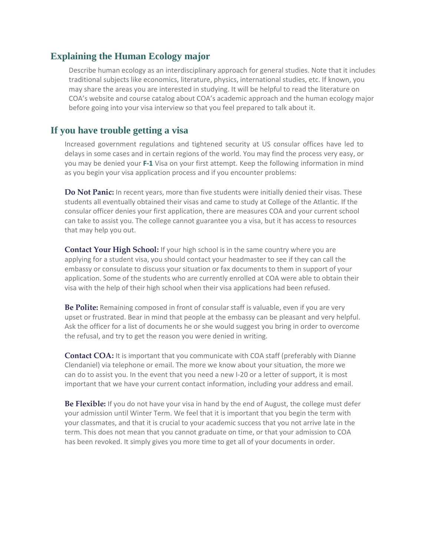## **Explaining the Human Ecology major**

Describe human ecology as an interdisciplinary approach for general studies. Note that it includes traditional subjects like economics, literature, physics, international studies, etc. If known, you may share the areas you are interested in studying. It will be helpful to read the literature on COA's website and course catalog about COA's academic approach and the human ecology major before going into your visa interview so that you feel prepared to talk about it.

## **If you have trouble getting a visa**

Increased government regulations and tightened security at US consular offices have led to delays in some cases and in certain regions of the world. You may find the process very easy, or you may be denied your **F-1** Visa on your first attempt. Keep the following information in mind as you begin your visa application process and if you encounter problems:

**Do Not Panic:** In recent years, more than five students were initially denied their visas. These students all eventually obtained their visas and came to study at College of the Atlantic. If the consular officer denies your first application, there are measures COA and your current school can take to assist you. The college cannot guarantee you a visa, but it has access to resources that may help you out.

**Contact Your High School:** If your high school is in the same country where you are applying for a student visa, you should contact your headmaster to see if they can call the embassy or consulate to discuss your situation or fax documents to them in support of your application. Some of the students who are currently enrolled at COA were able to obtain their visa with the help of their high school when their visa applications had been refused.

**Be Polite:** Remaining composed in front of consular staff is valuable, even if you are very upset or frustrated. Bear in mind that people at the embassy can be pleasant and very helpful. Ask the officer for a list of documents he or she would suggest you bring in order to overcome the refusal, and try to get the reason you were denied in writing.

**Contact COA:** It is important that you communicate with COA staff (preferably with Dianne Clendaniel) via telephone or email. The more we know about your situation, the more we can do to assist you. In the event that you need a new I-20 or a letter of support, it is most important that we have your current contact information, including your address and email.

**Be Flexible:** If you do not have your visa in hand by the end of August, the college must defer your admission until Winter Term. We feel that it is important that you begin the term with your classmates, and that it is crucial to your academic success that you not arrive late in the term. This does not mean that you cannot graduate on time, or that your admission to COA has been revoked. It simply gives you more time to get all of your documents in order.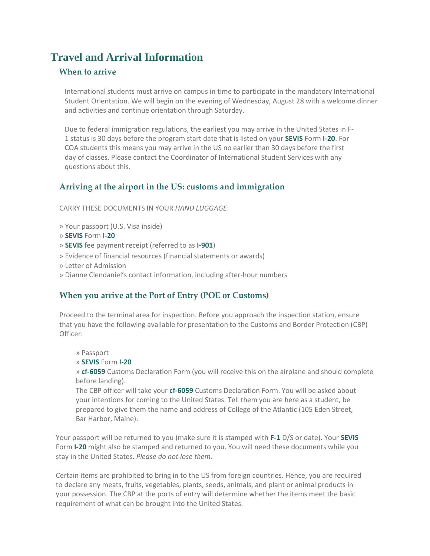## **Travel and Arrival Information**

## **When to arrive**

International students must arrive on campus in time to participate in the mandatory International Student Orientation. We will begin on the evening of Wednesday, August 28 with a welcome dinner and activities and continue orientation through Saturday.

Due to federal immigration regulations, the earliest you may arrive in the United States in F-1 status is 30 days before the program start date that is listed on your **SEVIS** Form **I-20**. For COA students this means you may arrive in the US no earlier than 30 days before the first day of classes. Please contact the Coordinator of International Student Services with any questions about this.

## **Arriving at the airport in the US: customs and immigration**

CARRY THESE DOCUMENTS IN YOUR *HAND LUGGAGE*:

- » Your passport (U.S. Visa inside)
- » **SEVIS** Form **I-20**
- » **SEVIS** fee payment receipt (referred to as **I-901**)
- » Evidence of financial resources (financial statements or awards)
- » Letter of Admission
- » Dianne Clendaniel's contact information, including after-hour numbers

## **When you arrive at the Port of Entry (POE or Customs)**

Proceed to the terminal area for inspection. Before you approach the inspection station, ensure that you have the following available for presentation to the Customs and Border Protection (CBP) Officer:

» Passport

» **SEVIS** Form **I-20**

» **cf-6059** Customs Declaration Form (you will receive this on the airplane and should complete before landing).

The CBP officer will take your **cf-6059** Customs Declaration Form. You will be asked about your intentions for coming to the United States. Tell them you are here as a student, be prepared to give them the name and address of College of the Atlantic (105 Eden Street, Bar Harbor, Maine).

Your passport will be returned to you (make sure it is stamped with **F-1** D/S or date). Your **SEVIS**  Form **I-20** might also be stamped and returned to you. You will need these documents while you stay in the United States. *Please do not lose them.*

Certain items are prohibited to bring in to the US from foreign countries. Hence, you are required to declare any meats, fruits, vegetables, plants, seeds, animals, and plant or animal products in your possession. The CBP at the ports of entry will determine whether the items meet the basic requirement of what can be brought into the United States.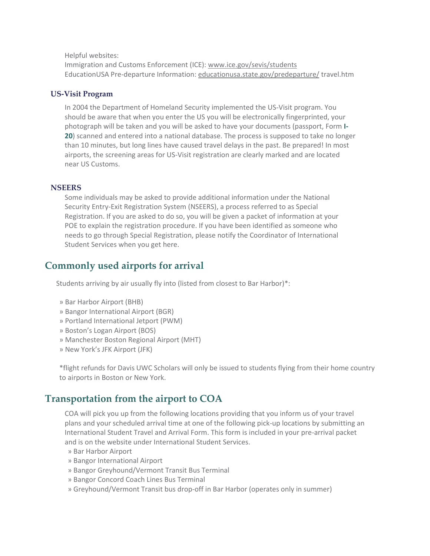Helpful websites:

Immigration and Customs Enforcement (ICE): www.ice.gov/sevis/students EducationUSA Pre-departure Information: [educationusa.state.gov/predeparture/](http://educationusa.state.gov/predeparture/) travel.htm

#### **US-Visit Program**

In 2004 the Department of Homeland Security implemented the US-Visit program. You should be aware that when you enter the US you will be electronically fingerprinted, your photograph will be taken and you will be asked to have your documents (passport, Form **I-20**) scanned and entered into a national database. The process is supposed to take no longer than 10 minutes, but long lines have caused travel delays in the past. Be prepared! In most airports, the screening areas for US-Visit registration are clearly marked and are located near US Customs.

#### **NSEERS**

Some individuals may be asked to provide additional information under the National Security Entry-Exit Registration System (NSEERS), a process referred to as Special Registration. If you are asked to do so, you will be given a packet of information at your POE to explain the registration procedure. If you have been identified as someone who needs to go through Special Registration, please notify the Coordinator of International Student Services when you get here.

## **Commonly used airports for arrival**

Students arriving by air usually fly into (listed from closest to Bar Harbor)\*:

- » Bar Harbor Airport (BHB)
- » Bangor International Airport (BGR)
- » Portland International Jetport (PWM)
- » Boston's Logan Airport (BOS)
- » Manchester Boston Regional Airport (MHT)
- » New York's JFK Airport (JFK)

\*flight refunds for Davis UWC Scholars will only be issued to students flying from their home country to airports in Boston or New York.

## **Transportation from the airport to COA**

COA will pick you up from the following locations providing that you inform us of your travel plans and your scheduled arrival time at one of the following pick-up locations by submitting an International Student Travel and Arrival Form. This form is included in your pre-arrival packet and is on the website under International Student Services.

- » Bar Harbor Airport
- » Bangor International Airport
- » Bangor Greyhound/Vermont Transit Bus Terminal
- » Bangor Concord Coach Lines Bus Terminal
- » Greyhound/Vermont Transit bus drop-off in Bar Harbor (operates only in summer)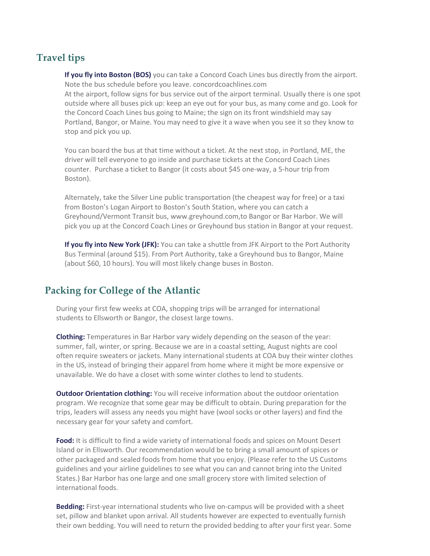## **Travel tips**

**If you fly into Boston (BOS)** you can take a Concord Coach Lines bus directly from the airport. Note the bus schedule before you leave. concordcoachlines.com At the airport, follow signs for bus service out of the airport terminal. Usually there is one spot outside where all buses pick up: keep an eye out for your bus, as many come and go. Look for the Concord Coach Lines bus going to Maine; the sign on its front windshield may say Portland, Bangor, or Maine. You may need to give it a wave when you see it so they know to stop and pick you up.

You can board the bus at that time without a ticket. At the next stop, in Portland, ME, the driver will tell everyone to go inside and purchase tickets at the Concord Coach Lines counter. Purchase a ticket to Bangor (it costs about \$45 one-way, a 5-hour trip from Boston).

Alternately, take the Silver Line public transportation (the cheapest way for free) or a taxi from Boston's Logan Airport to Boston's South Station, where you can catch a Greyhound/Vermont Transit bus, www.greyhound.com,to Bangor or Bar Harbor. We will pick you up at the Concord Coach Lines or Greyhound bus station in Bangor at your request.

**If you fly into New York (JFK):** You can take a shuttle from JFK Airport to the Port Authority Bus Terminal (around \$15). From Port Authority, take a Greyhound bus to Bangor, Maine (about \$60, 10 hours). You will most likely change buses in Boston.

## **Packing for College of the Atlantic**

During your first few weeks at COA, shopping trips will be arranged for international students to Ellsworth or Bangor, the closest large towns.

**Clothing:** Temperatures in Bar Harbor vary widely depending on the season of the year: summer, fall, winter, or spring. Because we are in a coastal setting, August nights are cool often require sweaters or jackets. Many international students at COA buy their winter clothes in the US, instead of bringing their apparel from home where it might be more expensive or unavailable. We do have a closet with some winter clothes to lend to students.

**Outdoor Orientation clothing:** You will receive information about the outdoor orientation program. We recognize that some gear may be difficult to obtain. During preparation for the trips, leaders will assess any needs you might have (wool socks or other layers) and find the necessary gear for your safety and comfort.

**Food:** It is difficult to find a wide variety of international foods and spices on Mount Desert Island or in Ellsworth. Our recommendation would be to bring a small amount of spices or other packaged and sealed foods from home that you enjoy. (Please refer to the US Customs guidelines and your airline guidelines to see what you can and cannot bring into the United States.) Bar Harbor has one large and one small grocery store with limited selection of international foods.

**Bedding:** First-year international students who live on-campus will be provided with a sheet set, pillow and blanket upon arrival. All students however are expected to eventually furnish their own bedding. You will need to return the provided bedding to after your first year. Some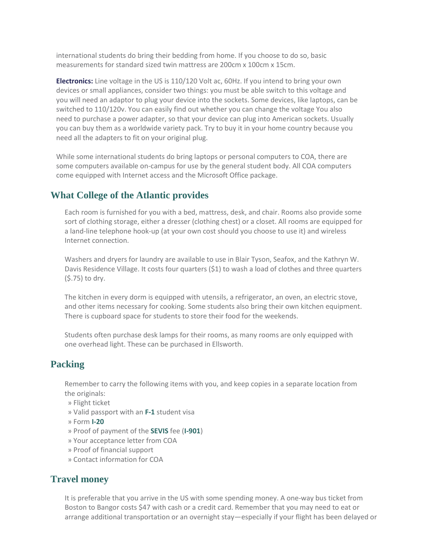international students do bring their bedding from home. If you choose to do so, basic measurements for standard sized twin mattress are 200cm x 100cm x 15cm.

**Electronics:** Line voltage in the US is 110/120 Volt ac, 60Hz. If you intend to bring your own devices or small appliances, consider two things: you must be able switch to this voltage and you will need an adaptor to plug your device into the sockets. Some devices, like laptops, can be switched to 110/120v. You can easily find out whether you can change the voltage You also need to purchase a power adapter, so that your device can plug into American sockets. Usually you can buy them as a worldwide variety pack. Try to buy it in your home country because you need all the adapters to fit on your original plug.

While some international students do bring laptops or personal computers to COA, there are some computers available on-campus for use by the general student body. All COA computers come equipped with Internet access and the Microsoft Office package.

## **What College of the Atlantic provides**

Each room is furnished for you with a bed, mattress, desk, and chair. Rooms also provide some sort of clothing storage, either a dresser (clothing chest) or a closet. All rooms are equipped for a land-line telephone hook-up (at your own cost should you choose to use it) and wireless Internet connection.

Washers and dryers for laundry are available to use in Blair Tyson, Seafox, and the Kathryn W. Davis Residence Village. It costs four quarters (\$1) to wash a load of clothes and three quarters (\$.75) to dry.

The kitchen in every dorm is equipped with utensils, a refrigerator, an oven, an electric stove, and other items necessary for cooking. Some students also bring their own kitchen equipment. There is cupboard space for students to store their food for the weekends.

Students often purchase desk lamps for their rooms, as many rooms are only equipped with one overhead light. These can be purchased in Ellsworth.

## **Packing**

Remember to carry the following items with you, and keep copies in a separate location from the originals:

- » Flight ticket
- » Valid passport with an **F-1** student visa
- » Form **I-20**
- » Proof of payment of the **SEVIS** fee (**I-901**)
- » Your acceptance letter from COA
- » Proof of financial support
- » Contact information for COA

## **Travel money**

It is preferable that you arrive in the US with some spending money. A one-way bus ticket from Boston to Bangor costs \$47 with cash or a credit card. Remember that you may need to eat or arrange additional transportation or an overnight stay—especially if your flight has been delayed or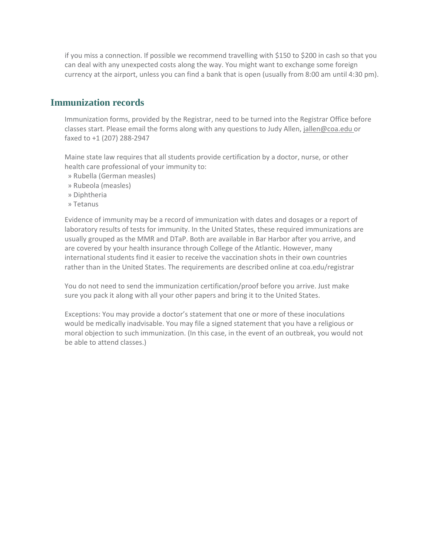if you miss a connection. If possible we recommend travelling with \$150 to \$200 in cash so that you can deal with any unexpected costs along the way. You might want to exchange some foreign currency at the airport, unless you can find a bank that is open (usually from 8:00 am until 4:30 pm).

## **Immunization records**

Immunization forms, provided by the Registrar, need to be turned into the Registrar Office before classes start. Please email the forms along with any questions to Judy Allen, [jallen@coa.edu o](mailto:jallen@coa.edu)r faxed to +1 (207) 288-2947

Maine state law requires that all students provide certification by a doctor, nurse, or other health care professional of your immunity to:

- » Rubella (German measles)
- » Rubeola (measles)
- » Diphtheria
- » Tetanus

Evidence of immunity may be a record of immunization with dates and dosages or a report of laboratory results of tests for immunity. In the United States, these required immunizations are usually grouped as the MMR and DTaP. Both are available in Bar Harbor after you arrive, and are covered by your health insurance through College of the Atlantic. However, many international students find it easier to receive the vaccination shots in their own countries rather than in the United States. The requirements are described online at coa.edu/registrar

You do not need to send the immunization certification/proof before you arrive. Just make sure you pack it along with all your other papers and bring it to the United States.

Exceptions: You may provide a doctor's statement that one or more of these inoculations would be medically inadvisable. You may file a signed statement that you have a religious or moral objection to such immunization. (In this case, in the event of an outbreak, you would not be able to attend classes.)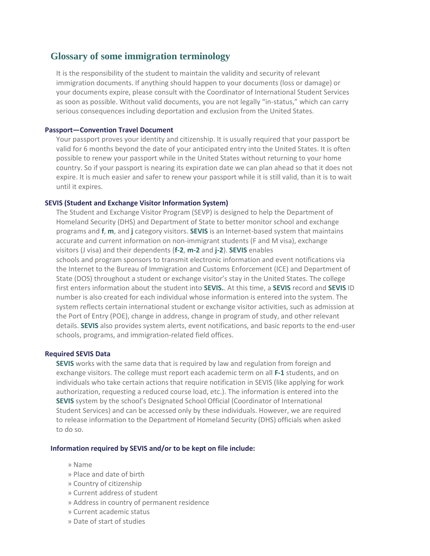## **Glossary of some immigration terminology**

It is the responsibility of the student to maintain the validity and security of relevant immigration documents. If anything should happen to your documents (loss or damage) or your documents expire, please consult with the Coordinator of International Student Services as soon as possible. Without valid documents, you are not legally "in-status," which can carry serious consequences including deportation and exclusion from the United States.

#### **Passport—Convention Travel Document**

Your passport proves your identity and citizenship. It is usually required that your passport be valid for 6 months beyond the date of your anticipated entry into the United States. It is often possible to renew your passport while in the United States without returning to your home country. So if your passport is nearing its expiration date we can plan ahead so that it does not expire. It is much easier and safer to renew your passport while it is still valid, than it is to wait until it expires.

#### **SEVIS (Student and Exchange Visitor Information System)**

The Student and Exchange Visitor Program (SEVP) is designed to help the Department of Homeland Security (DHS) and Department of State to better monitor school and exchange programs and **f**, **m**, and **j** category visitors. **SEVIS** is an Internet-based system that maintains accurate and current information on non-immigrant students (F and M visa), exchange visitors (J visa) and their dependents (**f-2**, **m-2** and **j-2**). **SEVIS** enables schools and program sponsors to transmit electronic information and event notifications via the Internet to the Bureau of Immigration and Customs Enforcement (ICE) and Department of State (DOS) throughout a student or exchange visitor's stay in the United States. The college first enters information about the student into **SEVIS.**. At this time, a **SEVIS** record and **SEVIS** ID number is also created for each individual whose information is entered into the system. The system reflects certain international student or exchange visitor activities, such as admission at the Port of Entry (POE), change in address, change in program of study, and other relevant details. **SEVIS** also provides system alerts, event notifications, and basic reports to the end-user schools, programs, and immigration-related field offices.

#### **Required SEVIS Data**

**SEVIS** works with the same data that is required by law and regulation from foreign and exchange visitors. The college must report each academic term on all **F-1** students, and on individuals who take certain actions that require notification in SEVIS (like applying for work authorization, requesting a reduced course load, etc.). The information is entered into the **SEVIS** system by the school's Designated School Official (Coordinator of International Student Services) and can be accessed only by these individuals. However, we are required to release information to the Department of Homeland Security (DHS) officials when asked to do so.

#### **Information required by SEVIS and/or to be kept on file include:**

- » Name
- » Place and date of birth
- » Country of citizenship
- » Current address of student
- » Address in country of permanent residence
- » Current academic status
- » Date of start of studies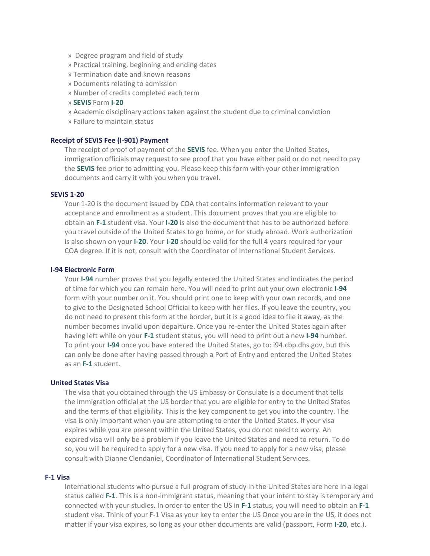- » Degree program and field of study
- » Practical training, beginning and ending dates
- » Termination date and known reasons
- » Documents relating to admission
- » Number of credits completed each term
- » **SEVIS** Form **I-20**
- » Academic disciplinary actions taken against the student due to criminal conviction
- » Failure to maintain status

#### **Receipt of SEVIS Fee (I-901) Payment**

The receipt of proof of payment of the **SEVIS** fee. When you enter the United States, immigration officials may request to see proof that you have either paid or do not need to pay the **SEVIS** fee prior to admitting you. Please keep this form with your other immigration documents and carry it with you when you travel.

#### **SEVIS 1-20**

Your 1-20 is the document issued by COA that contains information relevant to your acceptance and enrollment as a student. This document proves that you are eligible to obtain an **F-1** student visa. Your **I-20** is also the document that has to be authorized before you travel outside of the United States to go home, or for study abroad. Work authorization is also shown on your **I-20**. Your **I-20** should be valid for the full 4 years required for your COA degree. If it is not, consult with the Coordinator of International Student Services.

#### **I-94 Electronic Form**

Your **I-94** number proves that you legally entered the United States and indicates the period of time for which you can remain here. You will need to print out your own electronic **I-94** form with your number on it. You should print one to keep with your own records, and one to give to the Designated School Official to keep with her files. If you leave the country, you do not need to present this form at the border, but it is a good idea to file it away, as the number becomes invalid upon departure. Once you re-enter the United States again after having left while on your **F-1** student status, you will need to print out a new **I-94** number. To print your **I-94** once you have entered the United States, go to: i94.cbp.dhs.gov, but this can only be done after having passed through a Port of Entry and entered the United States as an **F-1** student.

#### **United States Visa**

The visa that you obtained through the US Embassy or Consulate is a document that tells the immigration official at the US border that you are eligible for entry to the United States and the terms of that eligibility. This is the key component to get you into the country. The visa is only important when you are attempting to enter the United States. If your visa expires while you are present within the United States, you do not need to worry. An expired visa will only be a problem if you leave the United States and need to return. To do so, you will be required to apply for a new visa. If you need to apply for a new visa, please consult with Dianne Clendaniel, Coordinator of International Student Services.

#### **F-1 Visa**

International students who pursue a full program of study in the United States are here in a legal status called **F-1**. This is a non-immigrant status, meaning that your intent to stay is temporary and connected with your studies. In order to enter the US in **F-1** status, you will need to obtain an **F-1** student visa. Think of your F-1 Visa as your key to enter the US Once you are in the US, it does not matter if your visa expires, so long as your other documents are valid (passport, Form **I-20**, etc.).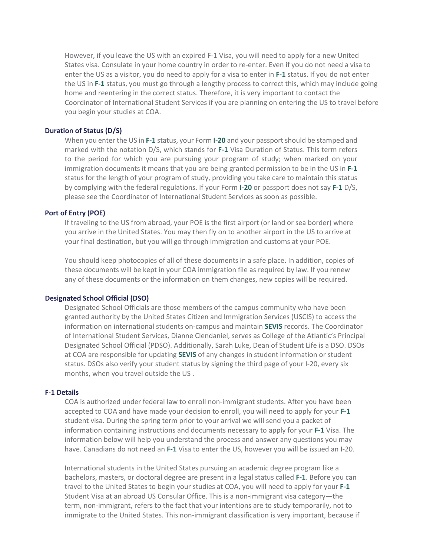However, if you leave the US with an expired F-1 Visa, you will need to apply for a new United States visa. Consulate in your home country in order to re-enter. Even if you do not need a visa to enter the US as a visitor, you do need to apply for a visa to enter in **F-1** status. If you do not enter the US in **F-1** status, you must go through a lengthy process to correct this, which may include going home and reentering in the correct status. Therefore, it is very important to contact the Coordinator of International Student Services if you are planning on entering the US to travel before you begin your studies at COA.

#### **Duration of Status (D/S)**

When you enter the US in **F-1** status, your Form **I-20** and your passportshould be stamped and marked with the notation D/S, which stands for **F-1** Visa Duration of Status. This term refers to the period for which you are pursuing your program of study; when marked on your immigration documents it means that you are being granted permission to be in the US in **F-1** status for the length of your program of study, providing you take care to maintain this status by complying with the federal regulations. If your Form **I-20** or passport does not say **F-1** D/S, please see the Coordinator of International Student Services as soon as possible.

#### **Port of Entry (POE)**

If traveling to the US from abroad, your POE is the first airport (or land or sea border) where you arrive in the United States. You may then fly on to another airport in the US to arrive at your final destination, but you will go through immigration and customs at your POE.

You should keep photocopies of all of these documents in a safe place. In addition, copies of these documents will be kept in your COA immigration file as required by law. If you renew any of these documents or the information on them changes, new copies will be required.

#### **Designated School Official (DSO)**

Designated School Officials are those members of the campus community who have been granted authority by the United States Citizen and Immigration Services (USCIS) to access the information on international students on-campus and maintain **SEVIS** records. The Coordinator of International Student Services, Dianne Clendaniel, serves as College of the Atlantic's Principal Designated School Official (PDSO). Additionally, Sarah Luke, Dean of Student Life is a DSO. DSOs at COA are responsible for updating **SEVIS** of any changes in student information or student status. DSOs also verify your student status by signing the third page of your I-20, every six months, when you travel outside the US .

#### **F-1 Details**

COA is authorized under federal law to enroll non-immigrant students. After you have been accepted to COA and have made your decision to enroll, you will need to apply for your **F-1** student visa. During the spring term prior to your arrival we will send you a packet of information containing instructions and documents necessary to apply for your **F-1** Visa. The information below will help you understand the process and answer any questions you may have. Canadians do not need an **F-1** Visa to enter the US, however you will be issued an I-20.

International students in the United States pursuing an academic degree program like a bachelors, masters, or doctoral degree are present in a legal status called **F-1**. Before you can travel to the United States to begin your studies at COA, you will need to apply for your **F-1** Student Visa at an abroad US Consular Office. This is a non-immigrant visa category—the term, non-immigrant, refers to the fact that your intentions are to study temporarily, not to immigrate to the United States. This non-immigrant classification is very important, because if